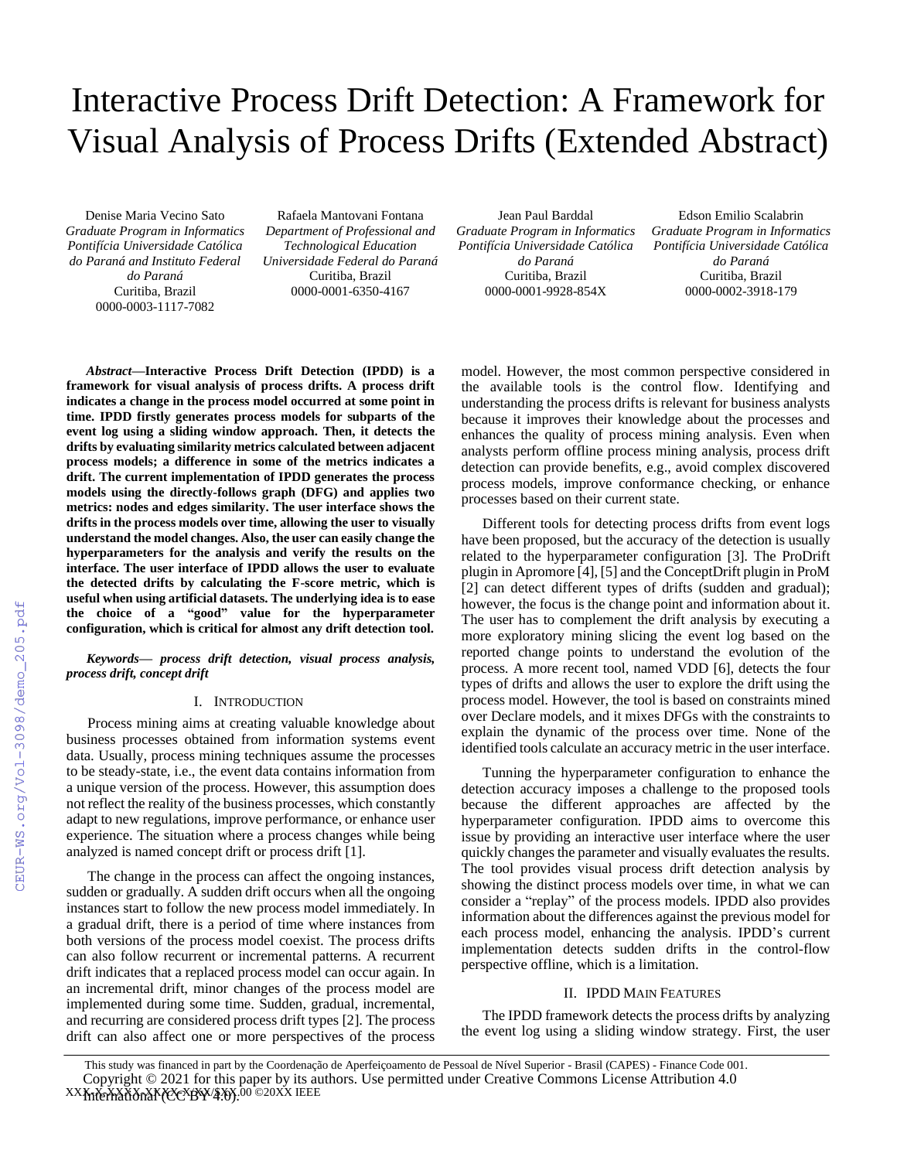# Interactive Process Drift Detection: A Framework for Visual Analysis of Process Drifts (Extended Abstract)

Denise Maria Vecino Sato *Graduate Program in Informatics Pontifícia Universidade Católica do Paraná and Instituto Federal do Paraná* Curitiba, Brazil 0000-0003-1117-7082

Rafaela Mantovani Fontana *Department of Professional and Technological Education Universidade Federal do Paraná* Curitiba, Brazil 0000-0001-6350-4167

Jean Paul Barddal *Graduate Program in Informatics Pontifícia Universidade Católica do Paraná* Curitiba, Brazil 0000-0001-9928-854X

Edson Emilio Scalabrin *Graduate Program in Informatics Pontifícia Universidade Católica do Paraná* Curitiba, Brazil 0000-0002-3918-179

*Abstract***—Interactive Process Drift Detection (IPDD) is a framework for visual analysis of process drifts. A process drift indicates a change in the process model occurred at some point in time. IPDD firstly generates process models for subparts of the event log using a sliding window approach. Then, it detects the drifts by evaluating similarity metrics calculated between adjacent process models; a difference in some of the metrics indicates a drift. The current implementation of IPDD generates the process models using the directly-follows graph (DFG) and applies two metrics: nodes and edges similarity. The user interface shows the drifts in the process models over time, allowing the user to visually understand the model changes. Also, the user can easily change the hyperparameters for the analysis and verify the results on the interface. The user interface of IPDD allows the user to evaluate the detected drifts by calculating the F-score metric, which is useful when using artificial datasets. The underlying idea is to ease the choice of a "good" value for the hyperparameter configuration, which is critical for almost any drift detection tool.**

# *Keywords— process drift detection, visual process analysis, process drift, concept drift*

## I. INTRODUCTION

Process mining aims at creating valuable knowledge about business processes obtained from information systems event data. Usually, process mining techniques assume the processes to be steady-state, i.e., the event data contains information from a unique version of the process. However, this assumption does not reflect the reality of the business processes, which constantly adapt to new regulations, improve performance, or enhance user experience. The situation where a process changes while being analyzed is named concept drift or process drift [1].

The change in the process can affect the ongoing instances, sudden or gradually. A sudden drift occurs when all the ongoing instances start to follow the new process model immediately. In a gradual drift, there is a period of time where instances from both versions of the process model coexist. The process drifts can also follow recurrent or incremental patterns. A recurrent drift indicates that a replaced process model can occur again. In an incremental drift, minor changes of the process model are implemented during some time. Sudden, gradual, incremental, and recurring are considered process drift types [2]. The process drift can also affect one or more perspectives of the process

model. However, the most common perspective considered in the available tools is the control flow. Identifying and understanding the process drifts is relevant for business analysts because it improves their knowledge about the processes and enhances the quality of process mining analysis. Even when analysts perform offline process mining analysis, process drift detection can provide benefits, e.g., avoid complex discovered process models, improve conformance checking, or enhance processes based on their current state.

Different tools for detecting process drifts from event logs have been proposed, but the accuracy of the detection is usually related to the hyperparameter configuration [3]. The ProDrift plugin in Apromore [4], [5] and the ConceptDrift plugin in ProM [2] can detect different types of drifts (sudden and gradual); however, the focus is the change point and information about it. The user has to complement the drift analysis by executing a more exploratory mining slicing the event log based on the reported change points to understand the evolution of the process. A more recent tool, named VDD [6], detects the four types of drifts and allows the user to explore the drift using the process model. However, the tool is based on constraints mined over Declare models, and it mixes DFGs with the constraints to explain the dynamic of the process over time. None of the identified tools calculate an accuracy metric in the user interface.

Tunning the hyperparameter configuration to enhance the detection accuracy imposes a challenge to the proposed tools because the different approaches are affected by the hyperparameter configuration. IPDD aims to overcome this issue by providing an interactive user interface where the user quickly changes the parameter and visually evaluates the results. The tool provides visual process drift detection analysis by showing the distinct process models over time, in what we can consider a "replay" of the process models. IPDD also provides information about the differences against the previous model for each process model, enhancing the analysis. IPDD's current implementation detects sudden drifts in the control-flow perspective offline, which is a limitation.

### II. IPDD MAIN FEATURES

The IPDD framework detects the process drifts by analyzing the event log using a sliding window strategy. First, the user

XXX-X-XXXX-XXXX-X/XX/\$XX.00 ©20XX IEEE This study was financed in part by the Coordenação de Aperfeiçoamento de Pessoal de Nível Superior - Brasil (CAPES) - Finance Code 001. Copyright © 2021 for this paper by its authors. Use permitted under Creative Commons License Attribution 4.0 International (CC BY 4.0).